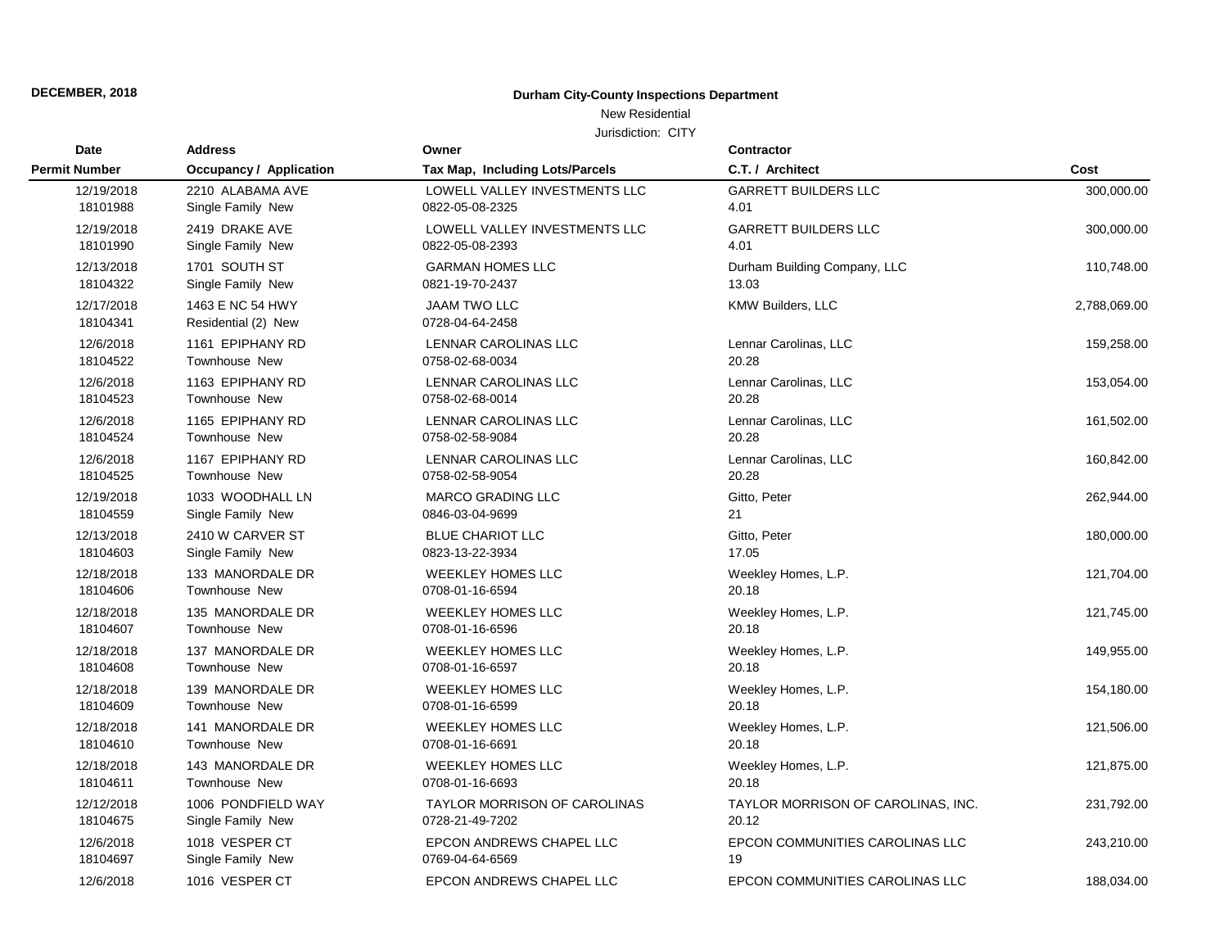### New Residential

| Date                   | <b>Address</b>                          | Owner                                  | Contractor                         |              |
|------------------------|-----------------------------------------|----------------------------------------|------------------------------------|--------------|
| <b>Permit Number</b>   | <b>Occupancy / Application</b>          | Tax Map, Including Lots/Parcels        | C.T. / Architect                   | Cost         |
| 12/19/2018             | 2210 ALABAMA AVE                        | LOWELL VALLEY INVESTMENTS LLC          | <b>GARRETT BUILDERS LLC</b>        | 300,000.00   |
| 18101988               | Single Family New                       | 0822-05-08-2325                        | 4.01                               |              |
| 12/19/2018             | 2419 DRAKE AVE                          | LOWELL VALLEY INVESTMENTS LLC          | <b>GARRETT BUILDERS LLC</b>        | 300,000.00   |
| 18101990               | Single Family New                       | 0822-05-08-2393                        | 4.01                               |              |
| 12/13/2018             | 1701 SOUTH ST                           | <b>GARMAN HOMES LLC</b>                | Durham Building Company, LLC       | 110,748.00   |
| 18104322               | Single Family New                       | 0821-19-70-2437                        | 13.03                              |              |
| 12/17/2018<br>18104341 | 1463 E NC 54 HWY<br>Residential (2) New | <b>JAAM TWO LLC</b><br>0728-04-64-2458 | KMW Builders, LLC                  | 2,788,069.00 |
| 12/6/2018              | 1161 EPIPHANY RD                        | LENNAR CAROLINAS LLC                   | Lennar Carolinas, LLC              | 159,258.00   |
| 18104522               | <b>Townhouse New</b>                    | 0758-02-68-0034                        | 20.28                              |              |
| 12/6/2018              | 1163 EPIPHANY RD                        | <b>LENNAR CAROLINAS LLC</b>            | Lennar Carolinas, LLC              | 153,054.00   |
| 18104523               | <b>Townhouse New</b>                    | 0758-02-68-0014                        | 20.28                              |              |
| 12/6/2018              | 1165 EPIPHANY RD                        | <b>LENNAR CAROLINAS LLC</b>            | Lennar Carolinas, LLC              | 161,502.00   |
| 18104524               | <b>Townhouse New</b>                    | 0758-02-58-9084                        | 20.28                              |              |
| 12/6/2018              | 1167 EPIPHANY RD                        | LENNAR CAROLINAS LLC                   | Lennar Carolinas, LLC              | 160,842.00   |
| 18104525               | Townhouse New                           | 0758-02-58-9054                        | 20.28                              |              |
| 12/19/2018             | 1033 WOODHALL LN                        | <b>MARCO GRADING LLC</b>               | Gitto, Peter                       | 262,944.00   |
| 18104559               | Single Family New                       | 0846-03-04-9699                        | 21                                 |              |
| 12/13/2018             | 2410 W CARVER ST                        | <b>BLUE CHARIOT LLC</b>                | Gitto, Peter                       | 180,000.00   |
| 18104603               | Single Family New                       | 0823-13-22-3934                        | 17.05                              |              |
| 12/18/2018             | 133 MANORDALE DR                        | <b>WEEKLEY HOMES LLC</b>               | Weekley Homes, L.P.                | 121,704.00   |
| 18104606               | <b>Townhouse New</b>                    | 0708-01-16-6594                        | 20.18                              |              |
| 12/18/2018             | 135 MANORDALE DR                        | <b>WEEKLEY HOMES LLC</b>               | Weekley Homes, L.P.                | 121,745.00   |
| 18104607               | <b>Townhouse New</b>                    | 0708-01-16-6596                        | 20.18                              |              |
| 12/18/2018             | 137 MANORDALE DR                        | <b>WEEKLEY HOMES LLC</b>               | Weekley Homes, L.P.                | 149,955.00   |
| 18104608               | Townhouse New                           | 0708-01-16-6597                        | 20.18                              |              |
| 12/18/2018             | 139 MANORDALE DR                        | <b>WEEKLEY HOMES LLC</b>               | Weekley Homes, L.P.                | 154,180.00   |
| 18104609               | <b>Townhouse New</b>                    | 0708-01-16-6599                        | 20.18                              |              |
| 12/18/2018             | 141 MANORDALE DR                        | <b>WEEKLEY HOMES LLC</b>               | Weekley Homes, L.P.                | 121,506.00   |
| 18104610               | Townhouse New                           | 0708-01-16-6691                        | 20.18                              |              |
| 12/18/2018             | 143 MANORDALE DR                        | <b>WEEKLEY HOMES LLC</b>               | Weekley Homes, L.P.                | 121,875.00   |
| 18104611               | <b>Townhouse New</b>                    | 0708-01-16-6693                        | 20.18                              |              |
| 12/12/2018             | 1006 PONDFIELD WAY                      | TAYLOR MORRISON OF CAROLINAS           | TAYLOR MORRISON OF CAROLINAS, INC. | 231,792.00   |
| 18104675               | Single Family New                       | 0728-21-49-7202                        | 20.12                              |              |
| 12/6/2018              | 1018 VESPER CT                          | EPCON ANDREWS CHAPEL LLC               | EPCON COMMUNITIES CAROLINAS LLC    | 243,210.00   |
| 18104697               | Single Family New                       | 0769-04-64-6569                        | 19                                 |              |
| 12/6/2018              | 1016 VESPER CT                          | <b>EPCON ANDREWS CHAPEL LLC</b>        | EPCON COMMUNITIES CAROLINAS LLC    | 188,034.00   |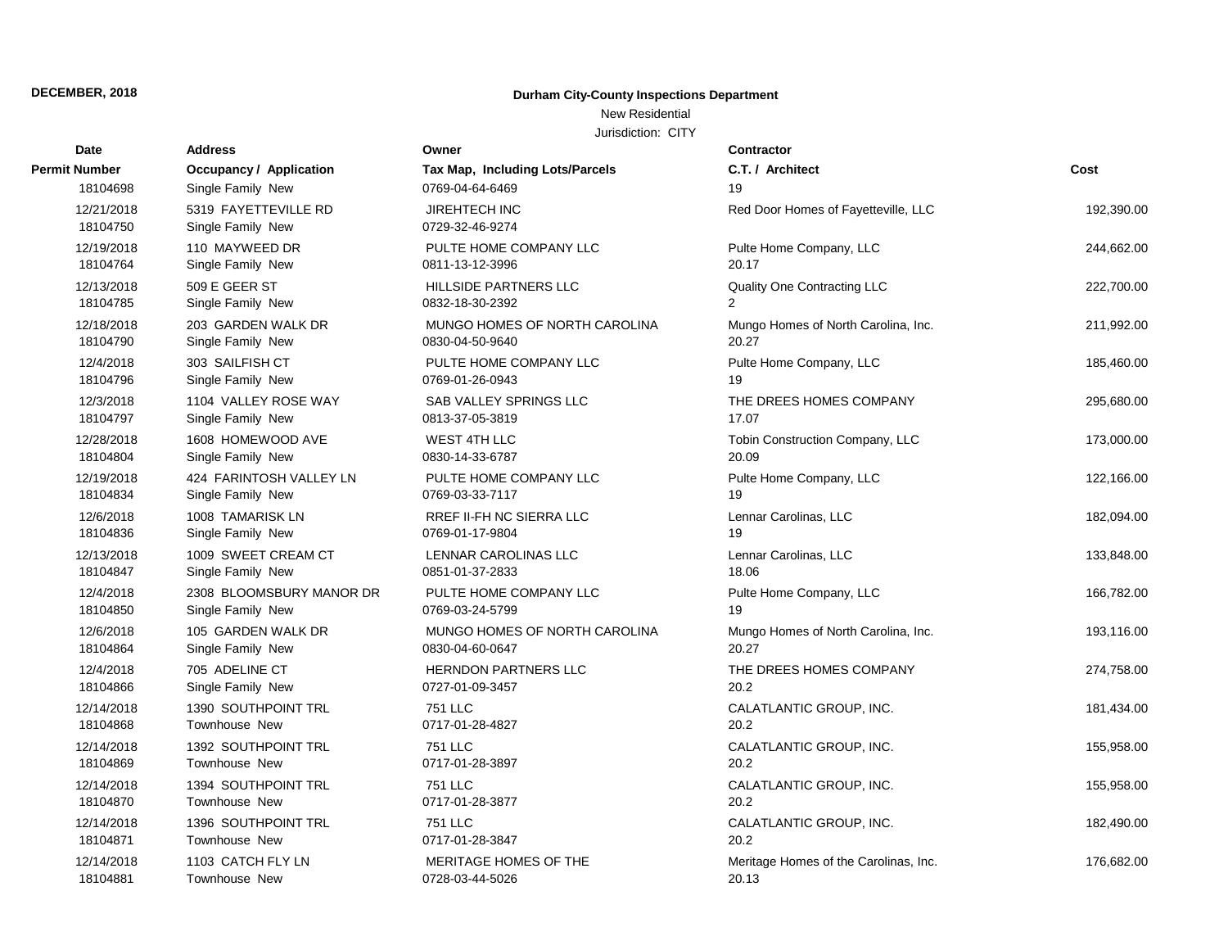# New Residential

| Date                   | <b>Address</b>                            | Owner                                   | Contractor                            |            |
|------------------------|-------------------------------------------|-----------------------------------------|---------------------------------------|------------|
| <b>Permit Number</b>   | Occupancy / Application                   | Tax Map, Including Lots/Parcels         | C.T. / Architect                      | Cost       |
| 18104698               | Single Family New                         | 0769-04-64-6469                         | 19                                    |            |
| 12/21/2018<br>18104750 | 5319 FAYETTEVILLE RD<br>Single Family New | <b>JIREHTECH INC</b><br>0729-32-46-9274 | Red Door Homes of Fayetteville, LLC   | 192,390.00 |
| 12/19/2018             | 110 MAYWEED DR                            | PULTE HOME COMPANY LLC                  | Pulte Home Company, LLC               | 244,662.00 |
| 18104764               | Single Family New                         | 0811-13-12-3996                         | 20.17                                 |            |
| 12/13/2018             | 509 E GEER ST                             | HILLSIDE PARTNERS LLC                   | Quality One Contracting LLC           | 222,700.00 |
| 18104785               | Single Family New                         | 0832-18-30-2392                         | $\overline{2}$                        |            |
| 12/18/2018             | 203 GARDEN WALK DR                        | MUNGO HOMES OF NORTH CAROLINA           | Mungo Homes of North Carolina, Inc.   | 211,992.00 |
| 18104790               | Single Family New                         | 0830-04-50-9640                         | 20.27                                 |            |
| 12/4/2018              | 303 SAILFISH CT                           | PULTE HOME COMPANY LLC                  | Pulte Home Company, LLC               | 185,460.00 |
| 18104796               | Single Family New                         | 0769-01-26-0943                         | 19                                    |            |
| 12/3/2018              | 1104 VALLEY ROSE WAY                      | SAB VALLEY SPRINGS LLC                  | THE DREES HOMES COMPANY               | 295,680.00 |
| 18104797               | Single Family New                         | 0813-37-05-3819                         | 17.07                                 |            |
| 12/28/2018             | 1608 HOMEWOOD AVE                         | <b>WEST 4TH LLC</b>                     | Tobin Construction Company, LLC       | 173,000.00 |
| 18104804               | Single Family New                         | 0830-14-33-6787                         | 20.09                                 |            |
| 12/19/2018             | 424 FARINTOSH VALLEY LN                   | PULTE HOME COMPANY LLC                  | Pulte Home Company, LLC               | 122,166.00 |
| 18104834               | Single Family New                         | 0769-03-33-7117                         | 19                                    |            |
| 12/6/2018              | 1008 TAMARISK LN                          | RREF II-FH NC SIERRA LLC                | Lennar Carolinas, LLC                 | 182,094.00 |
| 18104836               | Single Family New                         | 0769-01-17-9804                         | 19                                    |            |
| 12/13/2018             | 1009 SWEET CREAM CT                       | LENNAR CAROLINAS LLC                    | Lennar Carolinas, LLC                 | 133,848.00 |
| 18104847               | Single Family New                         | 0851-01-37-2833                         | 18.06                                 |            |
| 12/4/2018              | 2308 BLOOMSBURY MANOR DR                  | PULTE HOME COMPANY LLC                  | Pulte Home Company, LLC               | 166,782.00 |
| 18104850               | Single Family New                         | 0769-03-24-5799                         | 19                                    |            |
| 12/6/2018              | 105 GARDEN WALK DR                        | MUNGO HOMES OF NORTH CAROLINA           | Mungo Homes of North Carolina, Inc.   | 193,116.00 |
| 18104864               | Single Family New                         | 0830-04-60-0647                         | 20.27                                 |            |
| 12/4/2018              | 705 ADELINE CT                            | <b>HERNDON PARTNERS LLC</b>             | THE DREES HOMES COMPANY               | 274,758.00 |
| 18104866               | Single Family New                         | 0727-01-09-3457                         | 20.2                                  |            |
| 12/14/2018             | 1390 SOUTHPOINT TRL                       | <b>751 LLC</b>                          | CALATLANTIC GROUP, INC.               | 181,434.00 |
| 18104868               | Townhouse New                             | 0717-01-28-4827                         | 20.2                                  |            |
| 12/14/2018             | 1392 SOUTHPOINT TRL                       | <b>751 LLC</b>                          | CALATLANTIC GROUP, INC.               | 155,958.00 |
| 18104869               | Townhouse New                             | 0717-01-28-3897                         | 20.2                                  |            |
| 12/14/2018             | 1394 SOUTHPOINT TRL                       | 751 LLC                                 | CALATLANTIC GROUP, INC.               | 155,958.00 |
| 18104870               | Townhouse New                             | 0717-01-28-3877                         | 20.2                                  |            |
| 12/14/2018             | 1396 SOUTHPOINT TRL                       | <b>751 LLC</b>                          | CALATLANTIC GROUP, INC.               | 182,490.00 |
| 18104871               | <b>Townhouse New</b>                      | 0717-01-28-3847                         | 20.2                                  |            |
| 12/14/2018             | 1103 CATCH FLY LN                         | MERITAGE HOMES OF THE                   | Meritage Homes of the Carolinas, Inc. | 176,682.00 |
| 18104881               | <b>Townhouse New</b>                      | 0728-03-44-5026                         | 20.13                                 |            |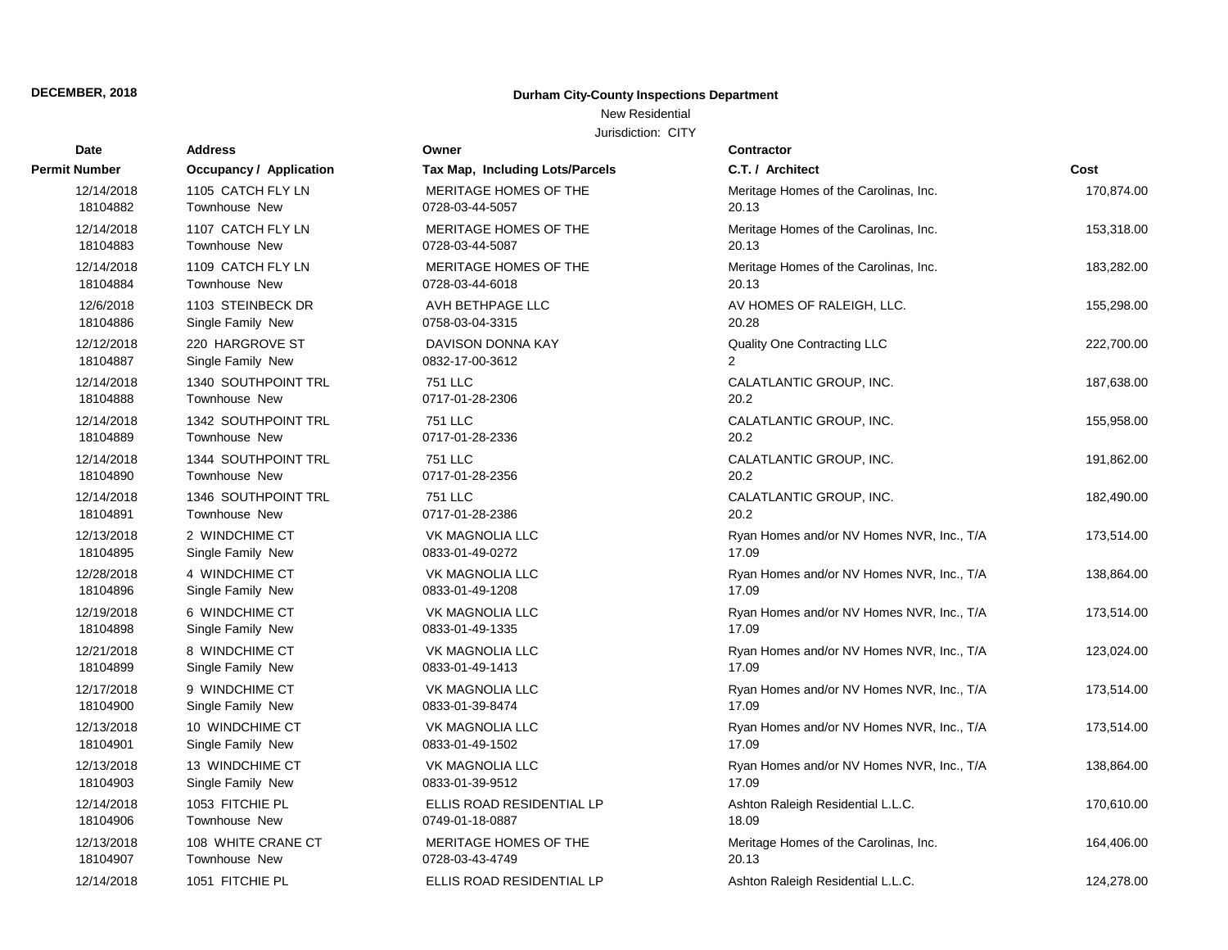### New Residential

| Date                 | <b>Address</b>                 | Owner                           | Contractor                                |            |
|----------------------|--------------------------------|---------------------------------|-------------------------------------------|------------|
| <b>Permit Number</b> | <b>Occupancy / Application</b> | Tax Map, Including Lots/Parcels | C.T. / Architect                          | Cost       |
| 12/14/2018           | 1105 CATCH FLY LN              | MERITAGE HOMES OF THE           | Meritage Homes of the Carolinas, Inc.     | 170,874.00 |
| 18104882             | <b>Townhouse New</b>           | 0728-03-44-5057                 | 20.13                                     |            |
| 12/14/2018           | 1107 CATCH FLY LN              | MERITAGE HOMES OF THE           | Meritage Homes of the Carolinas, Inc.     | 153,318.00 |
| 18104883             | Townhouse New                  | 0728-03-44-5087                 | 20.13                                     |            |
| 12/14/2018           | 1109 CATCH FLY LN              | MERITAGE HOMES OF THE           | Meritage Homes of the Carolinas, Inc.     | 183,282.00 |
| 18104884             | Townhouse New                  | 0728-03-44-6018                 | 20.13                                     |            |
| 12/6/2018            | 1103 STEINBECK DR              | AVH BETHPAGE LLC                | AV HOMES OF RALEIGH, LLC.                 | 155,298.00 |
| 18104886             | Single Family New              | 0758-03-04-3315                 | 20.28                                     |            |
| 12/12/2018           | 220 HARGROVE ST                | DAVISON DONNA KAY               | Quality One Contracting LLC               | 222,700.00 |
| 18104887             | Single Family New              | 0832-17-00-3612                 | $\overline{2}$                            |            |
| 12/14/2018           | 1340 SOUTHPOINT TRL            | <b>751 LLC</b>                  | CALATLANTIC GROUP, INC.                   | 187,638.00 |
| 18104888             | Townhouse New                  | 0717-01-28-2306                 | 20.2                                      |            |
| 12/14/2018           | 1342 SOUTHPOINT TRL            | <b>751 LLC</b>                  | CALATLANTIC GROUP, INC.                   | 155,958.00 |
| 18104889             | Townhouse New                  | 0717-01-28-2336                 | 20.2                                      |            |
| 12/14/2018           | 1344 SOUTHPOINT TRL            | <b>751 LLC</b>                  | CALATLANTIC GROUP, INC.                   | 191,862.00 |
| 18104890             | Townhouse New                  | 0717-01-28-2356                 | 20.2                                      |            |
| 12/14/2018           | 1346 SOUTHPOINT TRL            | 751 LLC                         | CALATLANTIC GROUP, INC.                   | 182,490.00 |
| 18104891             | Townhouse New                  | 0717-01-28-2386                 | 20.2                                      |            |
| 12/13/2018           | 2 WINDCHIME CT                 | <b>VK MAGNOLIA LLC</b>          | Ryan Homes and/or NV Homes NVR, Inc., T/A | 173,514.00 |
| 18104895             | Single Family New              | 0833-01-49-0272                 | 17.09                                     |            |
| 12/28/2018           | 4 WINDCHIME CT                 | VK MAGNOLIA LLC                 | Ryan Homes and/or NV Homes NVR, Inc., T/A | 138,864.00 |
| 18104896             | Single Family New              | 0833-01-49-1208                 | 17.09                                     |            |
| 12/19/2018           | 6 WINDCHIME CT                 | VK MAGNOLIA LLC                 | Ryan Homes and/or NV Homes NVR, Inc., T/A | 173,514.00 |
| 18104898             | Single Family New              | 0833-01-49-1335                 | 17.09                                     |            |
| 12/21/2018           | 8 WINDCHIME CT                 | VK MAGNOLIA LLC                 | Ryan Homes and/or NV Homes NVR, Inc., T/A | 123,024.00 |
| 18104899             | Single Family New              | 0833-01-49-1413                 | 17.09                                     |            |
| 12/17/2018           | 9 WINDCHIME CT                 | <b>VK MAGNOLIA LLC</b>          | Ryan Homes and/or NV Homes NVR, Inc., T/A | 173,514.00 |
| 18104900             | Single Family New              | 0833-01-39-8474                 | 17.09                                     |            |
| 12/13/2018           | 10 WINDCHIME CT                | VK MAGNOLIA LLC                 | Ryan Homes and/or NV Homes NVR, Inc., T/A | 173,514.00 |
| 18104901             | Single Family New              | 0833-01-49-1502                 | 17.09                                     |            |
| 12/13/2018           | 13 WINDCHIME CT                | <b>VK MAGNOLIA LLC</b>          | Ryan Homes and/or NV Homes NVR, Inc., T/A | 138,864.00 |
| 18104903             | Single Family New              | 0833-01-39-9512                 | 17.09                                     |            |
| 12/14/2018           | 1053 FITCHIE PL                | ELLIS ROAD RESIDENTIAL LP       | Ashton Raleigh Residential L.L.C.         | 170,610.00 |
| 18104906             | Townhouse New                  | 0749-01-18-0887                 | 18.09                                     |            |
| 12/13/2018           | 108 WHITE CRANE CT             | MERITAGE HOMES OF THE           | Meritage Homes of the Carolinas, Inc.     | 164,406.00 |
| 18104907             | Townhouse New                  | 0728-03-43-4749                 | 20.13                                     |            |
| 12/14/2018           | 1051 FITCHIE PL                | ELLIS ROAD RESIDENTIAL LP       | Ashton Raleigh Residential L.L.C.         | 124,278.00 |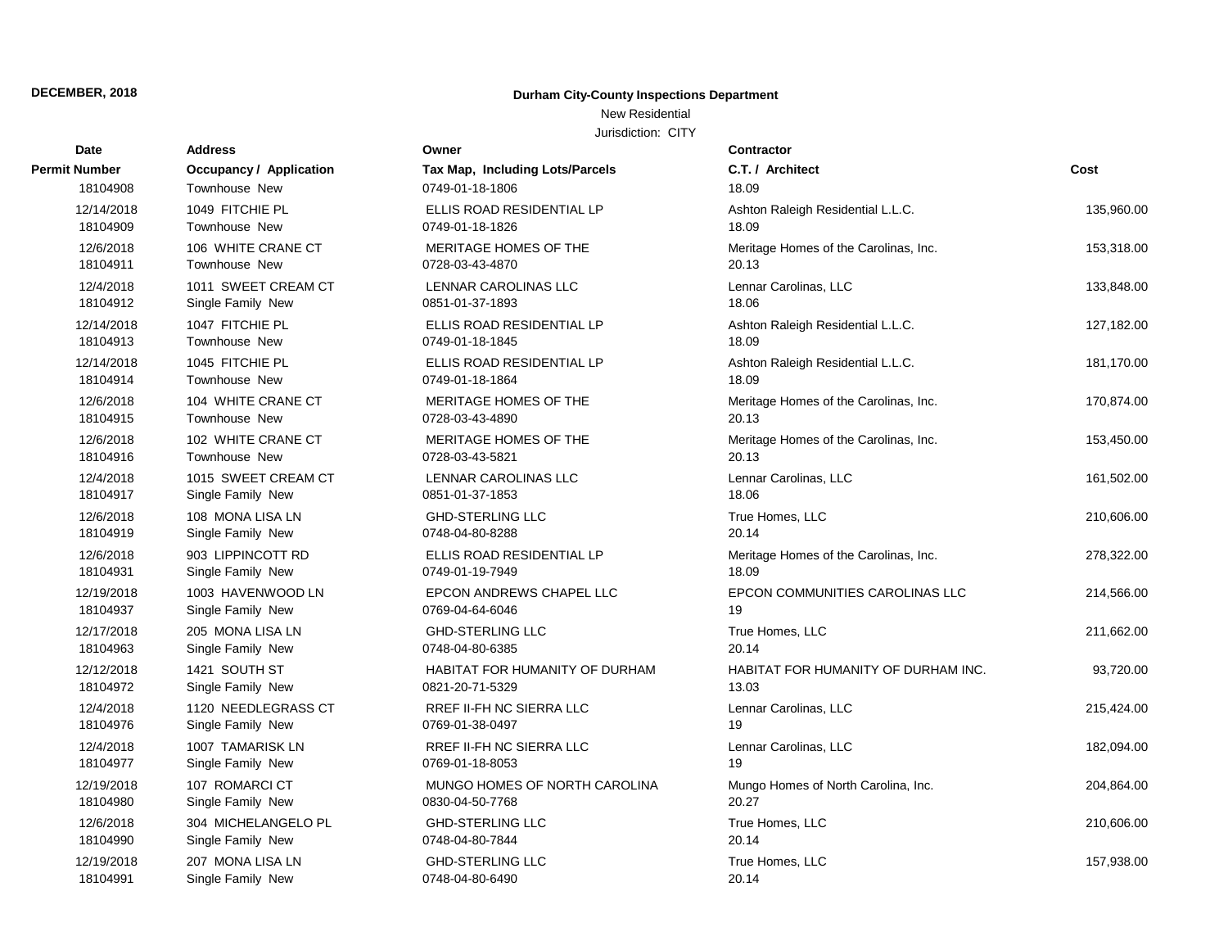# New Residential

| <b>Date</b>          | <b>Address</b>                 | Owner                           | Contractor                            |            |
|----------------------|--------------------------------|---------------------------------|---------------------------------------|------------|
| <b>Permit Number</b> | <b>Occupancy / Application</b> | Tax Map, Including Lots/Parcels | C.T. / Architect                      | Cost       |
| 18104908             | Townhouse New                  | 0749-01-18-1806                 | 18.09                                 |            |
| 12/14/2018           | 1049 FITCHIE PL                | ELLIS ROAD RESIDENTIAL LP       | Ashton Raleigh Residential L.L.C.     | 135,960.00 |
| 18104909             | Townhouse New                  | 0749-01-18-1826                 | 18.09                                 |            |
| 12/6/2018            | 106 WHITE CRANE CT             | MERITAGE HOMES OF THE           | Meritage Homes of the Carolinas, Inc. | 153,318.00 |
| 18104911             | Townhouse New                  | 0728-03-43-4870                 | 20.13                                 |            |
| 12/4/2018            | 1011 SWEET CREAM CT            | <b>LENNAR CAROLINAS LLC</b>     | Lennar Carolinas, LLC                 | 133,848.00 |
| 18104912             | Single Family New              | 0851-01-37-1893                 | 18.06                                 |            |
| 12/14/2018           | 1047 FITCHIE PL                | ELLIS ROAD RESIDENTIAL LP       | Ashton Raleigh Residential L.L.C.     | 127,182.00 |
| 18104913             | Townhouse New                  | 0749-01-18-1845                 | 18.09                                 |            |
| 12/14/2018           | 1045 FITCHIE PL                | ELLIS ROAD RESIDENTIAL LP       | Ashton Raleigh Residential L.L.C.     | 181,170.00 |
| 18104914             | Townhouse New                  | 0749-01-18-1864                 | 18.09                                 |            |
| 12/6/2018            | 104 WHITE CRANE CT             | MERITAGE HOMES OF THE           | Meritage Homes of the Carolinas, Inc. | 170,874.00 |
| 18104915             | Townhouse New                  | 0728-03-43-4890                 | 20.13                                 |            |
| 12/6/2018            | 102 WHITE CRANE CT             | MERITAGE HOMES OF THE           | Meritage Homes of the Carolinas, Inc. | 153,450.00 |
| 18104916             | Townhouse New                  | 0728-03-43-5821                 | 20.13                                 |            |
| 12/4/2018            | 1015 SWEET CREAM CT            | LENNAR CAROLINAS LLC            | Lennar Carolinas, LLC                 | 161,502.00 |
| 18104917             | Single Family New              | 0851-01-37-1853                 | 18.06                                 |            |
| 12/6/2018            | 108 MONA LISA LN               | <b>GHD-STERLING LLC</b>         | True Homes, LLC                       | 210,606.00 |
| 18104919             | Single Family New              | 0748-04-80-8288                 | 20.14                                 |            |
| 12/6/2018            | 903 LIPPINCOTT RD              | ELLIS ROAD RESIDENTIAL LP       | Meritage Homes of the Carolinas, Inc. | 278,322.00 |
| 18104931             | Single Family New              | 0749-01-19-7949                 | 18.09                                 |            |
| 12/19/2018           | 1003 HAVENWOOD LN              | EPCON ANDREWS CHAPEL LLC        | EPCON COMMUNITIES CAROLINAS LLC       | 214,566.00 |
| 18104937             | Single Family New              | 0769-04-64-6046                 | 19                                    |            |
| 12/17/2018           | 205 MONA LISA LN               | <b>GHD-STERLING LLC</b>         | True Homes, LLC                       | 211,662.00 |
| 18104963             | Single Family New              | 0748-04-80-6385                 | 20.14                                 |            |
| 12/12/2018           | 1421 SOUTH ST                  | HABITAT FOR HUMANITY OF DURHAM  | HABITAT FOR HUMANITY OF DURHAM INC.   | 93,720.00  |
| 18104972             | Single Family New              | 0821-20-71-5329                 | 13.03                                 |            |
| 12/4/2018            | 1120 NEEDLEGRASS CT            | RREF II-FH NC SIERRA LLC        | Lennar Carolinas, LLC                 | 215,424.00 |
| 18104976             | Single Family New              | 0769-01-38-0497                 | 19                                    |            |
| 12/4/2018            | 1007 TAMARISK LN               | RREF II-FH NC SIERRA LLC        | Lennar Carolinas, LLC                 | 182,094.00 |
| 18104977             | Single Family New              | 0769-01-18-8053                 | 19                                    |            |
| 12/19/2018           | 107 ROMARCI CT                 | MUNGO HOMES OF NORTH CAROLINA   | Mungo Homes of North Carolina, Inc.   | 204,864.00 |
| 18104980             | Single Family New              | 0830-04-50-7768                 | 20.27                                 |            |
| 12/6/2018            | 304 MICHELANGELO PL            | <b>GHD-STERLING LLC</b>         | True Homes, LLC                       | 210,606.00 |
| 18104990             | Single Family New              | 0748-04-80-7844                 | 20.14                                 |            |
| 12/19/2018           | 207 MONA LISA LN               | <b>GHD-STERLING LLC</b>         | True Homes, LLC                       | 157,938.00 |
| 18104991             | Single Family New              | 0748-04-80-6490                 | 20.14                                 |            |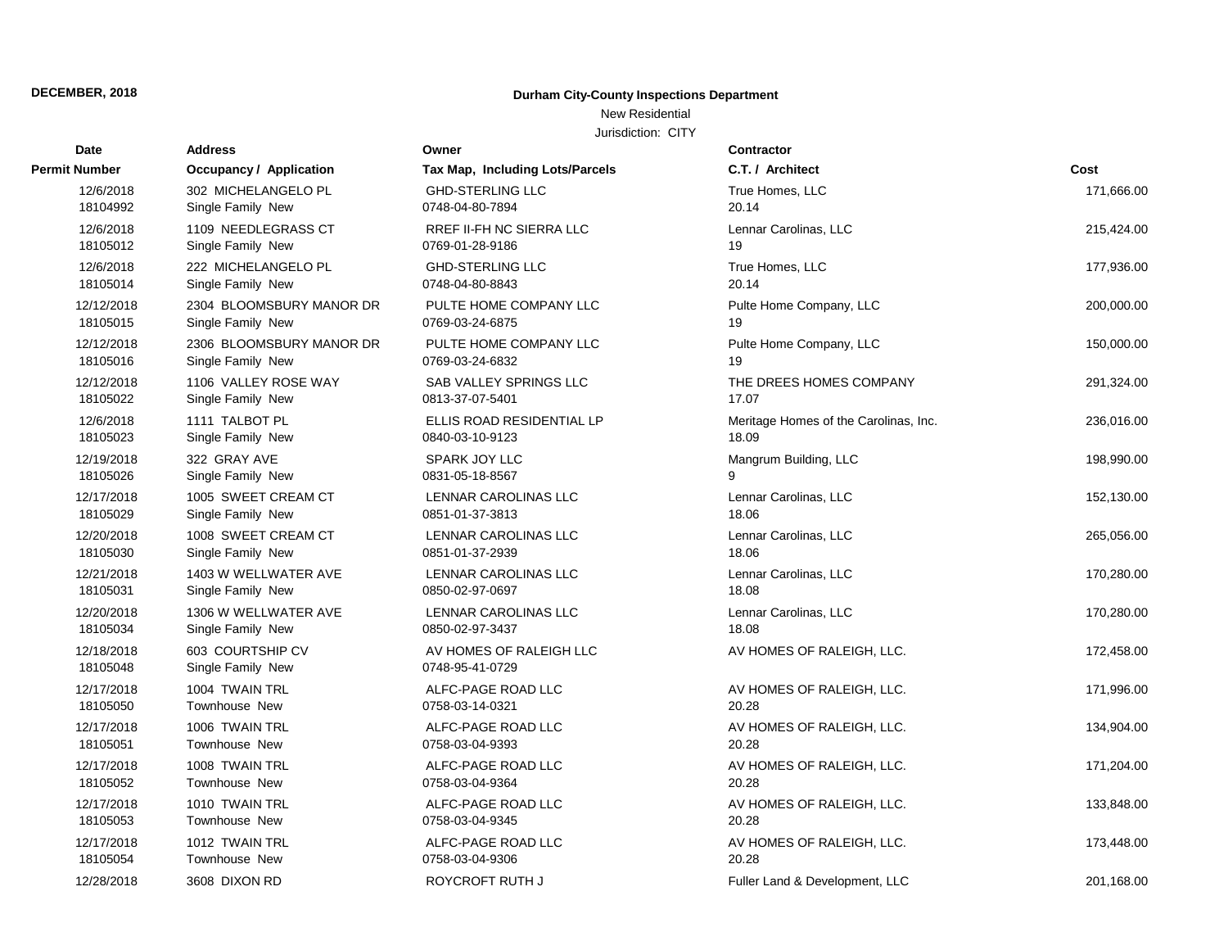# New Residential

| <b>Date</b>            | <b>Address</b>                        | Owner                                      | <b>Contractor</b>                     |            |
|------------------------|---------------------------------------|--------------------------------------------|---------------------------------------|------------|
| Permit Number          | Occupancy / Application               | <b>Tax Map, Including Lots/Parcels</b>     | C.T. / Architect                      | Cost       |
| 12/6/2018              | 302 MICHELANGELO PL                   | <b>GHD-STERLING LLC</b>                    | True Homes, LLC                       | 171,666.00 |
| 18104992               | Single Family New                     | 0748-04-80-7894                            | 20.14                                 |            |
| 12/6/2018              | 1109 NEEDLEGRASS CT                   | RREF II-FH NC SIERRA LLC                   | Lennar Carolinas, LLC                 | 215,424.00 |
| 18105012               | Single Family New                     | 0769-01-28-9186                            | 19                                    |            |
| 12/6/2018              | 222 MICHELANGELO PL                   | <b>GHD-STERLING LLC</b>                    | True Homes, LLC                       | 177,936.00 |
| 18105014               | Single Family New                     | 0748-04-80-8843                            | 20.14                                 |            |
| 12/12/2018             | 2304 BLOOMSBURY MANOR DR              | PULTE HOME COMPANY LLC                     | Pulte Home Company, LLC               | 200,000.00 |
| 18105015               | Single Family New                     | 0769-03-24-6875                            | 19                                    |            |
| 12/12/2018             | 2306 BLOOMSBURY MANOR DR              | PULTE HOME COMPANY LLC                     | Pulte Home Company, LLC               | 150,000.00 |
| 18105016               | Single Family New                     | 0769-03-24-6832                            | 19                                    |            |
| 12/12/2018             | 1106 VALLEY ROSE WAY                  | <b>SAB VALLEY SPRINGS LLC</b>              | THE DREES HOMES COMPANY               | 291,324.00 |
| 18105022               | Single Family New                     | 0813-37-07-5401                            | 17.07                                 |            |
| 12/6/2018              | 1111 TALBOT PL                        | ELLIS ROAD RESIDENTIAL LP                  | Meritage Homes of the Carolinas, Inc. | 236,016.00 |
| 18105023               | Single Family New                     | 0840-03-10-9123                            | 18.09                                 |            |
| 12/19/2018             | 322 GRAY AVE                          | SPARK JOY LLC                              | Mangrum Building, LLC                 | 198,990.00 |
| 18105026               | Single Family New                     | 0831-05-18-8567                            | 9                                     |            |
| 12/17/2018             | 1005 SWEET CREAM CT                   | LENNAR CAROLINAS LLC                       | Lennar Carolinas, LLC                 | 152,130.00 |
| 18105029               | Single Family New                     | 0851-01-37-3813                            | 18.06                                 |            |
| 12/20/2018             | 1008 SWEET CREAM CT                   | <b>LENNAR CAROLINAS LLC</b>                | Lennar Carolinas, LLC                 | 265,056.00 |
| 18105030               | Single Family New                     | 0851-01-37-2939                            | 18.06                                 |            |
| 12/21/2018             | 1403 W WELLWATER AVE                  | LENNAR CAROLINAS LLC                       | Lennar Carolinas, LLC                 | 170,280.00 |
| 18105031               | Single Family New                     | 0850-02-97-0697                            | 18.08                                 |            |
| 12/20/2018             | 1306 W WELLWATER AVE                  | LENNAR CAROLINAS LLC                       | Lennar Carolinas, LLC                 | 170,280.00 |
| 18105034               | Single Family New                     | 0850-02-97-3437                            | 18.08                                 |            |
| 12/18/2018<br>18105048 | 603 COURTSHIP CV<br>Single Family New | AV HOMES OF RALEIGH LLC<br>0748-95-41-0729 | AV HOMES OF RALEIGH, LLC.             | 172,458.00 |
| 12/17/2018             | 1004 TWAIN TRL                        | ALFC-PAGE ROAD LLC                         | AV HOMES OF RALEIGH, LLC.             | 171,996.00 |
| 18105050               | Townhouse New                         | 0758-03-14-0321                            | 20.28                                 |            |
| 12/17/2018             | 1006 TWAIN TRL                        | ALFC-PAGE ROAD LLC                         | AV HOMES OF RALEIGH, LLC.             | 134,904.00 |
| 18105051               | Townhouse New                         | 0758-03-04-9393                            | 20.28                                 |            |
| 12/17/2018             | 1008 TWAIN TRL                        | ALFC-PAGE ROAD LLC                         | AV HOMES OF RALEIGH, LLC.             | 171,204.00 |
| 18105052               | Townhouse New                         | 0758-03-04-9364                            | 20.28                                 |            |
| 12/17/2018             | 1010 TWAIN TRL                        | ALFC-PAGE ROAD LLC                         | AV HOMES OF RALEIGH, LLC.             | 133,848.00 |
| 18105053               | <b>Townhouse New</b>                  | 0758-03-04-9345                            | 20.28                                 |            |
| 12/17/2018             | 1012 TWAIN TRL                        | ALFC-PAGE ROAD LLC                         | AV HOMES OF RALEIGH, LLC.             | 173,448.00 |
| 18105054               | Townhouse New                         | 0758-03-04-9306                            | 20.28                                 |            |
| 12/28/2018             | 3608 DIXON RD                         | ROYCROFT RUTH J                            | Fuller Land & Development, LLC        | 201,168.00 |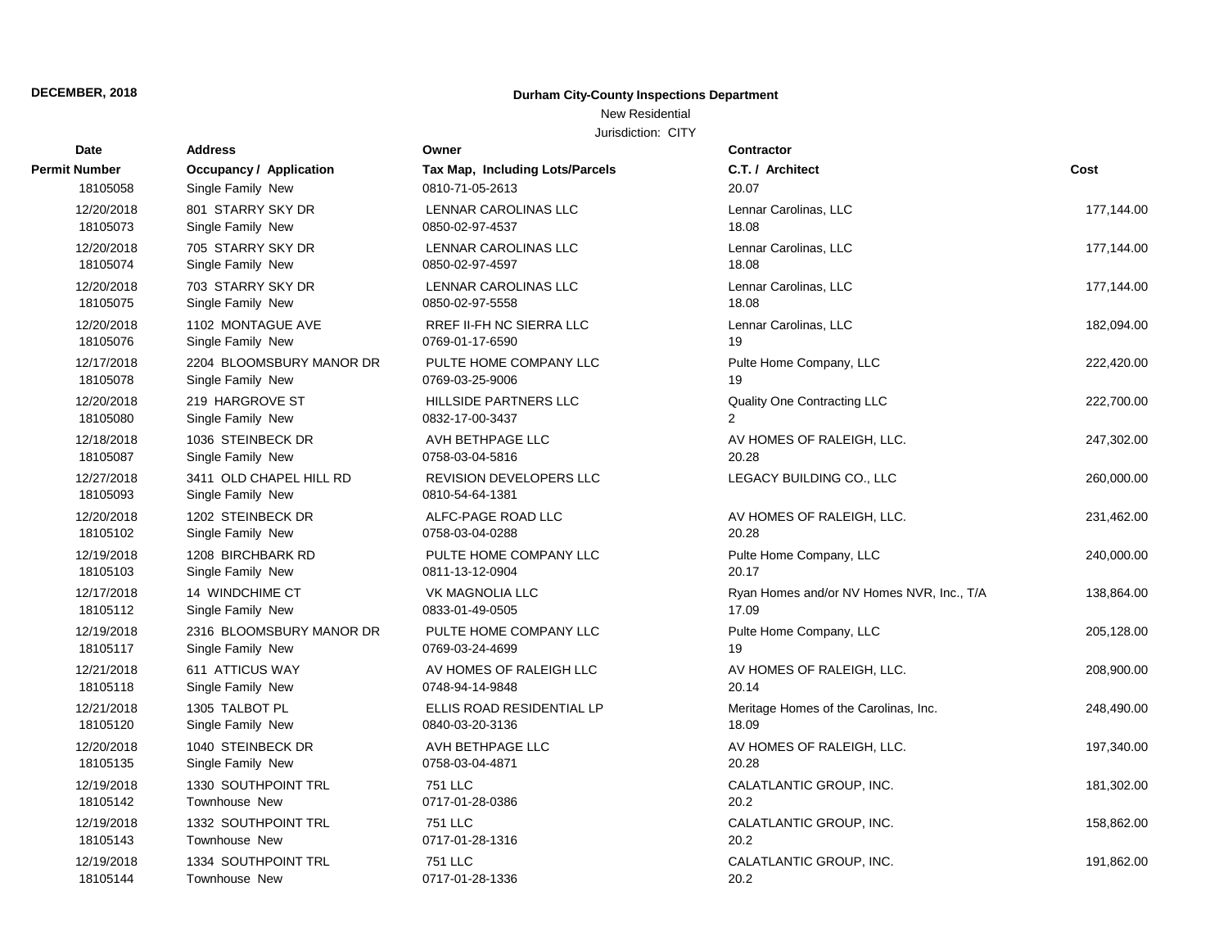### New Residential

| <b>Date</b>            | <b>Address</b>                               | Owner                                      | <b>Contractor</b>                         |            |
|------------------------|----------------------------------------------|--------------------------------------------|-------------------------------------------|------------|
| <b>Permit Number</b>   | Occupancy / Application                      | Tax Map, Including Lots/Parcels            | C.T. / Architect                          | Cost       |
| 18105058               | Single Family New                            | 0810-71-05-2613                            | 20.07                                     |            |
| 12/20/2018             | 801 STARRY SKY DR                            | LENNAR CAROLINAS LLC                       | Lennar Carolinas, LLC                     | 177,144.00 |
| 18105073               | Single Family New                            | 0850-02-97-4537                            | 18.08                                     |            |
| 12/20/2018             | 705 STARRY SKY DR                            | <b>LENNAR CAROLINAS LLC</b>                | Lennar Carolinas, LLC                     | 177,144.00 |
| 18105074               | Single Family New                            | 0850-02-97-4597                            | 18.08                                     |            |
| 12/20/2018             | 703 STARRY SKY DR                            | <b>LENNAR CAROLINAS LLC</b>                | Lennar Carolinas, LLC                     | 177,144.00 |
| 18105075               | Single Family New                            | 0850-02-97-5558                            | 18.08                                     |            |
| 12/20/2018             | 1102 MONTAGUE AVE                            | <b>RREF II-FH NC SIERRA LLC</b>            | Lennar Carolinas, LLC                     | 182,094.00 |
| 18105076               | Single Family New                            | 0769-01-17-6590                            | 19                                        |            |
| 12/17/2018             | 2204 BLOOMSBURY MANOR DR                     | PULTE HOME COMPANY LLC                     | Pulte Home Company, LLC                   | 222,420.00 |
| 18105078               | Single Family New                            | 0769-03-25-9006                            | 19                                        |            |
| 12/20/2018             | 219 HARGROVE ST                              | <b>HILLSIDE PARTNERS LLC</b>               | Quality One Contracting LLC               | 222,700.00 |
| 18105080               | Single Family New                            | 0832-17-00-3437                            | $\overline{2}$                            |            |
| 12/18/2018             | 1036 STEINBECK DR                            | AVH BETHPAGE LLC                           | AV HOMES OF RALEIGH, LLC.                 | 247,302.00 |
| 18105087               | Single Family New                            | 0758-03-04-5816                            | 20.28                                     |            |
| 12/27/2018<br>18105093 | 3411 OLD CHAPEL HILL RD<br>Single Family New | REVISION DEVELOPERS LLC<br>0810-54-64-1381 | LEGACY BUILDING CO., LLC                  | 260,000.00 |
| 12/20/2018             | 1202 STEINBECK DR                            | ALFC-PAGE ROAD LLC                         | AV HOMES OF RALEIGH, LLC.                 | 231,462.00 |
| 18105102               | Single Family New                            | 0758-03-04-0288                            | 20.28                                     |            |
| 12/19/2018             | 1208 BIRCHBARK RD                            | PULTE HOME COMPANY LLC                     | Pulte Home Company, LLC                   | 240,000.00 |
| 18105103               | Single Family New                            | 0811-13-12-0904                            | 20.17                                     |            |
| 12/17/2018             | 14 WINDCHIME CT                              | <b>VK MAGNOLIA LLC</b>                     | Ryan Homes and/or NV Homes NVR, Inc., T/A | 138,864.00 |
| 18105112               | Single Family New                            | 0833-01-49-0505                            | 17.09                                     |            |
| 12/19/2018             | 2316 BLOOMSBURY MANOR DR                     | PULTE HOME COMPANY LLC                     | Pulte Home Company, LLC                   | 205,128.00 |
| 18105117               | Single Family New                            | 0769-03-24-4699                            | 19                                        |            |
| 12/21/2018             | 611 ATTICUS WAY                              | AV HOMES OF RALEIGH LLC                    | AV HOMES OF RALEIGH, LLC.                 | 208,900.00 |
| 18105118               | Single Family New                            | 0748-94-14-9848                            | 20.14                                     |            |
| 12/21/2018             | 1305 TALBOT PL                               | ELLIS ROAD RESIDENTIAL LP                  | Meritage Homes of the Carolinas, Inc.     | 248,490.00 |
| 18105120               | Single Family New                            | 0840-03-20-3136                            | 18.09                                     |            |
| 12/20/2018             | 1040 STEINBECK DR                            | AVH BETHPAGE LLC                           | AV HOMES OF RALEIGH, LLC.                 | 197,340.00 |
| 18105135               | Single Family New                            | 0758-03-04-4871                            | 20.28                                     |            |
| 12/19/2018             | 1330 SOUTHPOINT TRL                          | <b>751 LLC</b>                             | CALATLANTIC GROUP, INC.                   | 181,302.00 |
| 18105142               | Townhouse New                                | 0717-01-28-0386                            | 20.2                                      |            |
| 12/19/2018             | 1332 SOUTHPOINT TRL                          | <b>751 LLC</b>                             | CALATLANTIC GROUP, INC.                   | 158,862.00 |
| 18105143               | Townhouse New                                | 0717-01-28-1316                            | 20.2                                      |            |
| 12/19/2018             | 1334 SOUTHPOINT TRL                          | <b>751 LLC</b>                             | CALATLANTIC GROUP, INC.                   | 191,862.00 |
| 18105144               | Townhouse New                                | 0717-01-28-1336                            | 20.2                                      |            |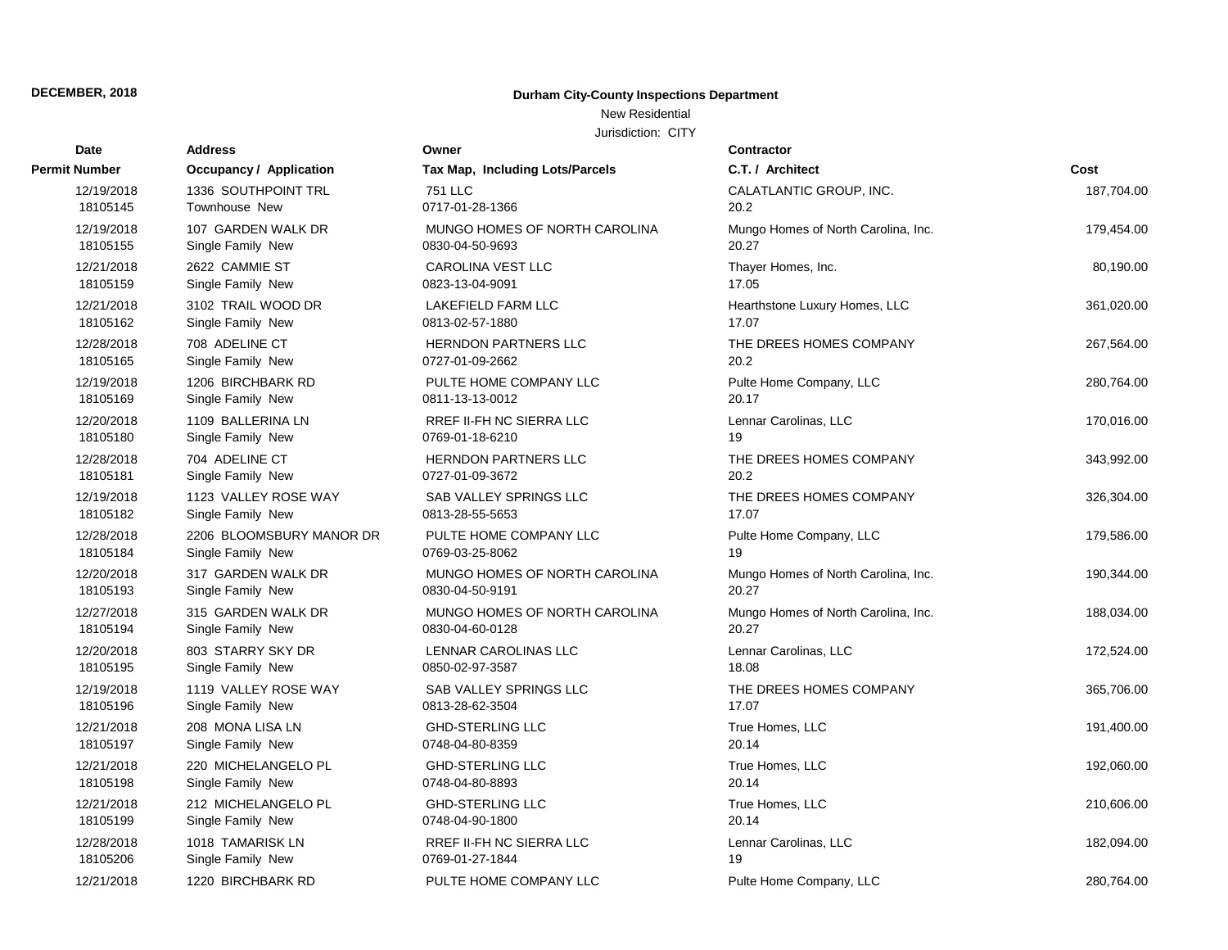### New Residential

| Date                 | <b>Address</b>                 | Owner                           | Contractor                          |            |
|----------------------|--------------------------------|---------------------------------|-------------------------------------|------------|
| <b>Permit Number</b> | <b>Occupancy / Application</b> | Tax Map, Including Lots/Parcels | C.T. / Architect                    | Cost       |
| 12/19/2018           | 1336 SOUTHPOINT TRL            | <b>751 LLC</b>                  | CALATLANTIC GROUP, INC.             | 187,704.00 |
| 18105145             | Townhouse New                  | 0717-01-28-1366                 | 20.2                                |            |
| 12/19/2018           | 107 GARDEN WALK DR             | MUNGO HOMES OF NORTH CAROLINA   | Mungo Homes of North Carolina, Inc. | 179,454.00 |
| 18105155             | Single Family New              | 0830-04-50-9693                 | 20.27                               |            |
| 12/21/2018           | 2622 CAMMIE ST                 | <b>CAROLINA VEST LLC</b>        | Thayer Homes, Inc.                  | 80,190.00  |
| 18105159             | Single Family New              | 0823-13-04-9091                 | 17.05                               |            |
| 12/21/2018           | 3102 TRAIL WOOD DR             | LAKEFIELD FARM LLC              | Hearthstone Luxury Homes, LLC       | 361,020.00 |
| 18105162             | Single Family New              | 0813-02-57-1880                 | 17.07                               |            |
| 12/28/2018           | 708 ADELINE CT                 | <b>HERNDON PARTNERS LLC</b>     | THE DREES HOMES COMPANY             | 267,564.00 |
| 18105165             | Single Family New              | 0727-01-09-2662                 | 20.2                                |            |
| 12/19/2018           | 1206 BIRCHBARK RD              | PULTE HOME COMPANY LLC          | Pulte Home Company, LLC             | 280,764.00 |
| 18105169             | Single Family New              | 0811-13-13-0012                 | 20.17                               |            |
| 12/20/2018           | 1109 BALLERINA LN              | <b>RREF II-FH NC SIERRA LLC</b> | Lennar Carolinas, LLC               | 170,016.00 |
| 18105180             | Single Family New              | 0769-01-18-6210                 | 19                                  |            |
| 12/28/2018           | 704 ADELINE CT                 | <b>HERNDON PARTNERS LLC</b>     | THE DREES HOMES COMPANY             | 343,992.00 |
| 18105181             | Single Family New              | 0727-01-09-3672                 | 20.2                                |            |
| 12/19/2018           | 1123 VALLEY ROSE WAY           | SAB VALLEY SPRINGS LLC          | THE DREES HOMES COMPANY             | 326,304.00 |
| 18105182             | Single Family New              | 0813-28-55-5653                 | 17.07                               |            |
| 12/28/2018           | 2206 BLOOMSBURY MANOR DR       | PULTE HOME COMPANY LLC          | Pulte Home Company, LLC             | 179,586.00 |
| 18105184             | Single Family New              | 0769-03-25-8062                 | 19                                  |            |
| 12/20/2018           | 317 GARDEN WALK DR             | MUNGO HOMES OF NORTH CAROLINA   | Mungo Homes of North Carolina, Inc. | 190,344.00 |
| 18105193             | Single Family New              | 0830-04-50-9191                 | 20.27                               |            |
| 12/27/2018           | 315 GARDEN WALK DR             | MUNGO HOMES OF NORTH CAROLINA   | Mungo Homes of North Carolina, Inc. | 188,034.00 |
| 18105194             | Single Family New              | 0830-04-60-0128                 | 20.27                               |            |
| 12/20/2018           | 803 STARRY SKY DR              | LENNAR CAROLINAS LLC            | Lennar Carolinas, LLC               | 172,524.00 |
| 18105195             | Single Family New              | 0850-02-97-3587                 | 18.08                               |            |
| 12/19/2018           | 1119 VALLEY ROSE WAY           | SAB VALLEY SPRINGS LLC          | THE DREES HOMES COMPANY             | 365,706.00 |
| 18105196             | Single Family New              | 0813-28-62-3504                 | 17.07                               |            |
| 12/21/2018           | 208 MONA LISA LN               | <b>GHD-STERLING LLC</b>         | True Homes, LLC                     | 191,400.00 |
| 18105197             | Single Family New              | 0748-04-80-8359                 | 20.14                               |            |
| 12/21/2018           | 220 MICHELANGELO PL            | <b>GHD-STERLING LLC</b>         | True Homes, LLC                     | 192,060.00 |
| 18105198             | Single Family New              | 0748-04-80-8893                 | 20.14                               |            |
| 12/21/2018           | 212 MICHELANGELO PL            | <b>GHD-STERLING LLC</b>         | True Homes, LLC                     | 210,606.00 |
| 18105199             | Single Family New              | 0748-04-90-1800                 | 20.14                               |            |
| 12/28/2018           | 1018 TAMARISK LN               | <b>RREF II-FH NC SIERRA LLC</b> | Lennar Carolinas, LLC               | 182,094.00 |
| 18105206             | Single Family New              | 0769-01-27-1844                 | 19                                  |            |
| 12/21/2018           | 1220 BIRCHBARK RD              | PULTE HOME COMPANY LLC          | Pulte Home Company, LLC             | 280,764.00 |